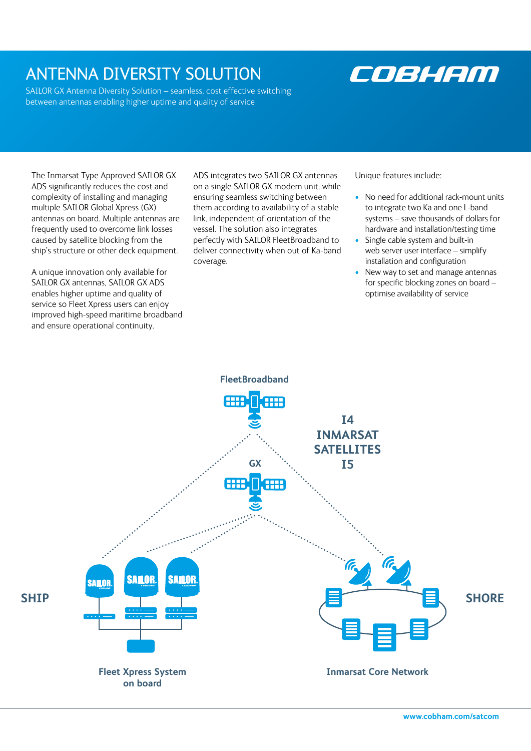## ANTENNA DIVERSITY SOLUTION

SAILOR GX Antenna Diversity Solution – seamless, cost effective switching between antennas enabling higher uptime and quality of service

# COBHAM

The Inmarsat Type Approved SAILOR GX ADS significantly reduces the cost and complexity of installing and managing multiple SAILOR Global Xpress (GX) antennas on board. Multiple antennas are frequently used to overcome link losses caused by satellite blocking from the ship's structure or other deck equipment.

A unique innovation only available for SAILOR GX antennas, SAILOR GX ADS enables higher uptime and quality of service so Fleet Xpress users can enjoy improved high-speed maritime broadband and ensure operational continuity.

ADS integrates two SAILOR GX antennas on a single SAILOR GX modem unit, while ensuring seamless switching between them according to availability of a stable link, independent of orientation of the vessel. The solution also integrates perfectly with SAILOR FleetBroadband to deliver connectivity when out of Ka-band coverage.

Unique features include:

- No need for additional rack-mount units to integrate two Ka and one L-band systems – save thousands of dollars for hardware and installation/testing time
- Single cable system and built-in web server user interface – simplify installation and configuration
- New way to set and manage antennas for specific blocking zones on board – optimise availability of service